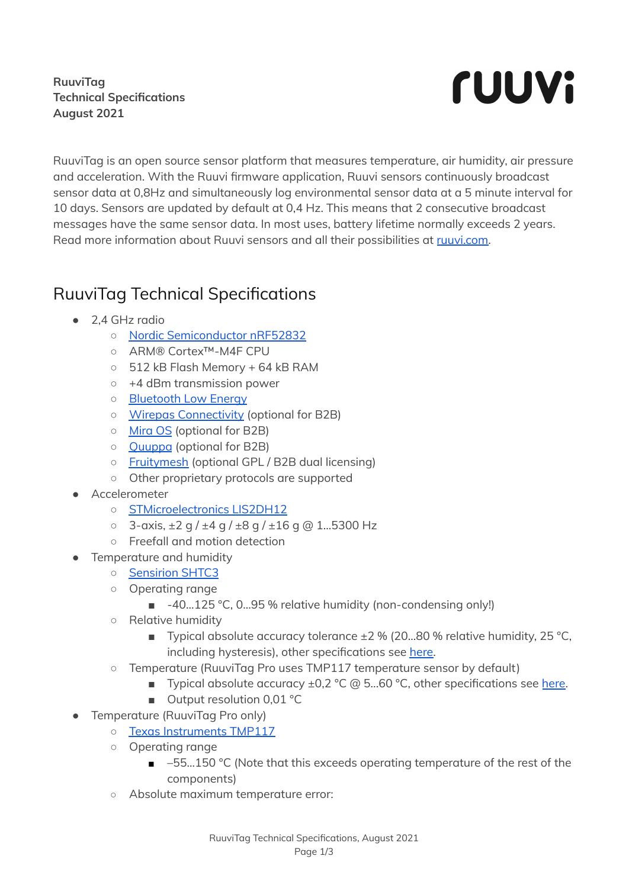## **RuuviTag Technical Specifications August 2021**



RuuviTag is an open source sensor platform that measures temperature, air humidity, air pressure and acceleration. With the Ruuvi firmware application, Ruuvi sensors continuously broadcast sensor data at 0,8Hz and simultaneously log environmental sensor data at a 5 minute interval for 10 days. Sensors are updated by default at 0,4 Hz. This means that 2 consecutive broadcast messages have the same sensor data. In most uses, battery lifetime normally exceeds 2 years. Read more information about Ruuvi sensors and all their possibilities at [ruuvi.com.](https://ruuvi.com)

## RuuviTag Technical Specifications

- 2,4 GHz radio
	- Nordic [Semiconductor](https://www.nordicsemi.com/Products/Low-power-short-range-wireless/nRF52832) nRF5283[2](https://www.nordicsemi.com/eng/Products/Bluetooth-low-energy/nRF52832)
	- ARM® Cortex™-M4F CPU
	- 512 kB Flash Memory + 64 kB RAM
	- +4 dBm transmission power
	- [Bluetooth](https://www.bluetooth.com/) Low Energ[y](https://www.thisisant.com/)
	- Wirepas [Connectivity](https://www.wirepas.com) (optional for B2B)
	- [Mira](https://lumenradio.com) OS (optional for B2B)
	- [Quuppa](https://quuppa.com) (optional for B2B)
	- [Fruitymesh](https://www.bluerange.io/docs/fruitymesh/index.html) (optional GPL / B2B dual licensing)
	- Other proprietary protocols are supported
- **Accelerometer** 
	- [STMicroelectronics](http://www.st.com/en/mems-and-sensors/lis2dh12.html) LIS2DH12
	- $\degree$  3-axis,  $\pm 2$  g /  $\pm 4$  g /  $\pm 8$  g /  $\pm 16$  g @ 1...5300 Hz
	- Freefall and motion detection
- Temperature and humidity
	- [Sensirion](https://www.sensirion.com/en/environmental-sensors/humidity-sensors/digital-humidity-sensor-shtc3-our-new-standard-for-consumer-electronics/) SHTC[3](https://www.bosch-sensortec.com/bst/products/all_products/bme280)
	- Operating range
		- -40...125 °C, 0...95 % relative humidity (non-condensing only!)
	- Relative humidity
		- Typical absolute accuracy tolerance  $\pm 2$  % (20...80 % relative humidity, 25 °C, including hysteresis), other specifications see [here.](https://www.sensirion.com/fileadmin/user_upload/customers/sensirion/Dokumente/2_Humidity_Sensors/Datasheets/Sensirion_Humidity_Sensors_SHTC3_Datasheet.pdf)
	- Temperature (RuuviTag Pro uses TMP117 temperature sensor by default)
		- Typical absolute accuracy ±0,2 °C @ 5...60 °C, other specifications see [here.](https://www.sensirion.com/fileadmin/user_upload/customers/sensirion/Dokumente/2_Humidity_Sensors/Datasheets/Sensirion_Humidity_Sensors_SHTC3_Datasheet.pdf)
		- Output resolution 0,01 °C
	- Temperature (RuuviTag Pro only)
		- Texas [Instruments](https://www.ti.com/lit/ds/symlink/tmp117.pdf?ts=1623997396211&ref_url=https%253A%252F%252Fwww.google.com%252F) TMP117
		- Operating range
			- –55...150 °C (Note that this exceeds operating temperature of the rest of the components)
		- Absolute maximum temperature error: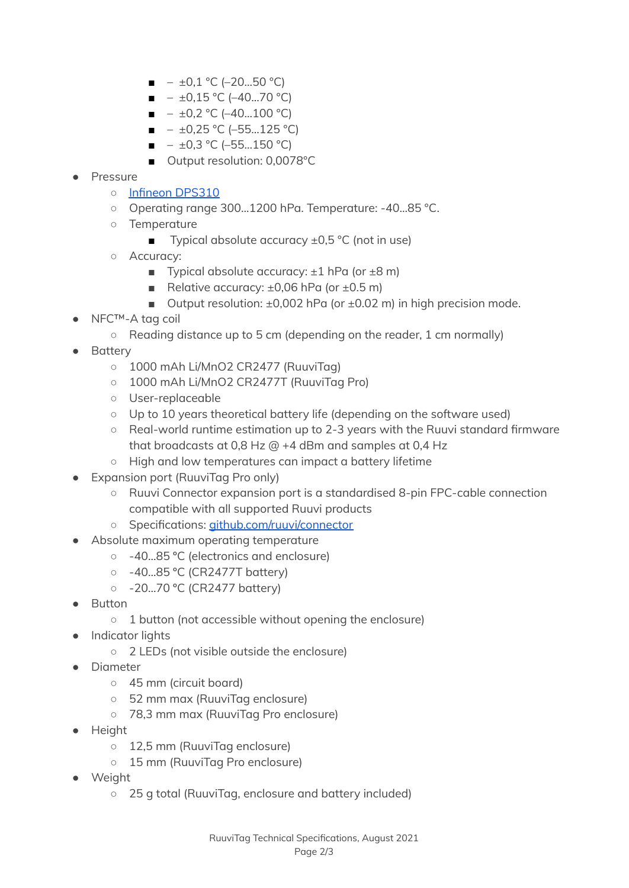- $\blacksquare$   $\pm 0.1$  °C (-20...50 °C)
- $\blacksquare$   $\pm 0.15 \,^{\circ}$ C (-40...70  $^{\circ}$ C)
- $\blacksquare$   $\pm 0.2$  °C (-40...100 °C)
- $\blacksquare$   $\pm 0.25$  °C (–55...125 °C)
- $\blacksquare$   $\pm 0.3$  °C (-55...150 °C)
- Output resolution: 0,0078°C
- Pressure
	- Infineon [DPS310](https://www.infineon.com/dgdl/Infineon-DPS310-DataSheet-v01_02-EN.pdf?fileId=5546d462576f34750157750826c42242)
	- Operating range 300...1200 hPa. Temperature: -40...85 °C.
	- Temperature
		- Typical absolute accuracy  $±0,5$  °C (not in use)
	- Accuracy:
		- **Typical absolute accuracy:**  $\pm 1$  **hPa (or**  $\pm 8$  **m)**
		- Relative accuracy:  $±0,06$  hPa (or  $±0.5$  m)
		- Output resolution:  $±0,002$  hPa (or  $±0.02$  m) in high precision mode.
- NFC™-A tag coil
	- $\circ$  Reading distance up to 5 cm (depending on the reader, 1 cm normally)
- **Battery** 
	- 1000 mAh Li/MnO2 CR2477 (RuuviTag)
	- 1000 mAh Li/MnO2 CR2477T (RuuviTag Pro)
	- User-replaceable
	- Up to 10 years theoretical battery life (depending on the software used)
	- Real-world runtime estimation up to 2-3 years with the Ruuvi standard firmware that broadcasts at 0,8 Hz @ +4 dBm and samples at 0,4 Hz
	- High and low temperatures can impact a battery lifetime
- **Expansion port (RuuviTag Pro only)** 
	- Ruuvi Connector expansion port is a standardised 8-pin FPC-cable connection compatible with all supported Ruuvi products
	- Specifications: [github.com/ruuvi/connector](https://github.com/ruuvi/connector)
- Absolute maximum operating temperature
	- -40...85 ºC (electronics and enclosure)
	- -40...85 ºC (CR2477T battery)
	- -20...70 ºC (CR2477 battery)
- **Button** 
	- 1 button (not accessible without opening the enclosure)
- Indicator lights
	- 2 LEDs (not visible outside the enclosure)
- **Diameter** 
	- 45 mm (circuit board)
	- 52 mm max (RuuviTag enclosure)
	- 78,3 mm max (RuuviTag Pro enclosure)
- Height
	- 12,5 mm (RuuviTag enclosure)
	- 15 mm (RuuviTag Pro enclosure)
- **Weight** 
	- 25 g total (RuuviTag, enclosure and battery included)